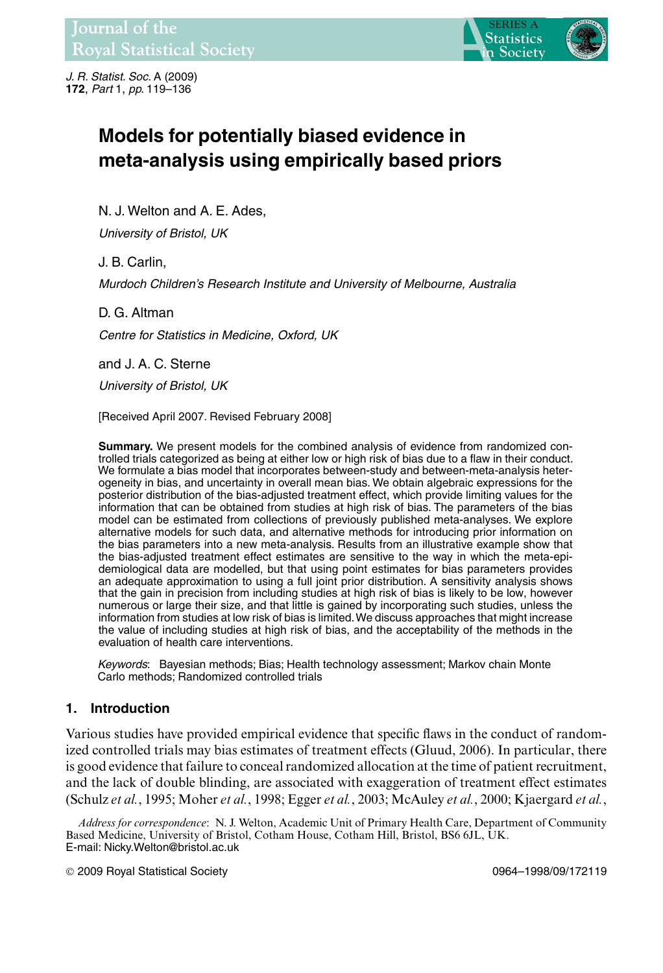

*J. R. Statist. Soc.* A (2009) **172**, *Part* 1, *pp.* 119–136

# **Models for potentially biased evidence in meta-analysis using empirically based priors**

N. J. Welton and A. E. Ades,

*University of Bristol, UK*

J. B. Carlin,

*Murdoch Children's Research Institute and University of Melbourne, Australia*

D. G. Altman

*Centre for Statistics in Medicine, Oxford, UK*

and J. A. C. Sterne

*University of Bristol, UK*

[Received April 2007. Revised February 2008]

**Summary.** We present models for the combined analysis of evidence from randomized controlled trials categorized as being at either low or high risk of bias due to a flaw in their conduct. We formulate a bias model that incorporates between-study and between-meta-analysis heterogeneity in bias, and uncertainty in overall mean bias. We obtain algebraic expressions for the posterior distribution of the bias-adjusted treatment effect, which provide limiting values for the information that can be obtained from studies at high risk of bias. The parameters of the bias model can be estimated from collections of previously published meta-analyses. We explore alternative models for such data, and alternative methods for introducing prior information on the bias parameters into a new meta-analysis. Results from an illustrative example show that the bias-adjusted treatment effect estimates are sensitive to the way in which the meta-epidemiological data are modelled, but that using point estimates for bias parameters provides an adequate approximation to using a full joint prior distribution. A sensitivity analysis shows that the gain in precision from including studies at high risk of bias is likely to be low, however numerous or large their size, and that little is gained by incorporating such studies, unless the information from studies at low risk of bias is limited.We discuss approaches that might increase the value of including studies at high risk of bias, and the acceptability of the methods in the evaluation of health care interventions.

*Keywords*: Bayesian methods; Bias; Health technology assessment; Markov chain Monte Carlo methods; Randomized controlled trials

# **1. Introduction**

Various studies have provided empirical evidence that specific flaws in the conduct of randomized controlled trials may bias estimates of treatment effects (Gluud, 2006). In particular, there is good evidence that failure to conceal randomized allocation at the time of patient recruitment, and the lack of double blinding, are associated with exaggeration of treatment effect estimates (Schulz *et al.*, 1995; Moher *et al.*, 1998; Egger *et al.*, 2003; McAuley *et al.*, 2000; Kjaergard *et al.*,

*Address for correspondence*: N. J. Welton, Academic Unit of Primary Health Care, Department of Community Based Medicine, University of Bristol, Cotham House, Cotham Hill, Bristol, BS6 6JL, UK. E-mail: Nicky.Welton@bristol.ac.uk

© 2009 Royal Statistical Society 0964–1998/09/172119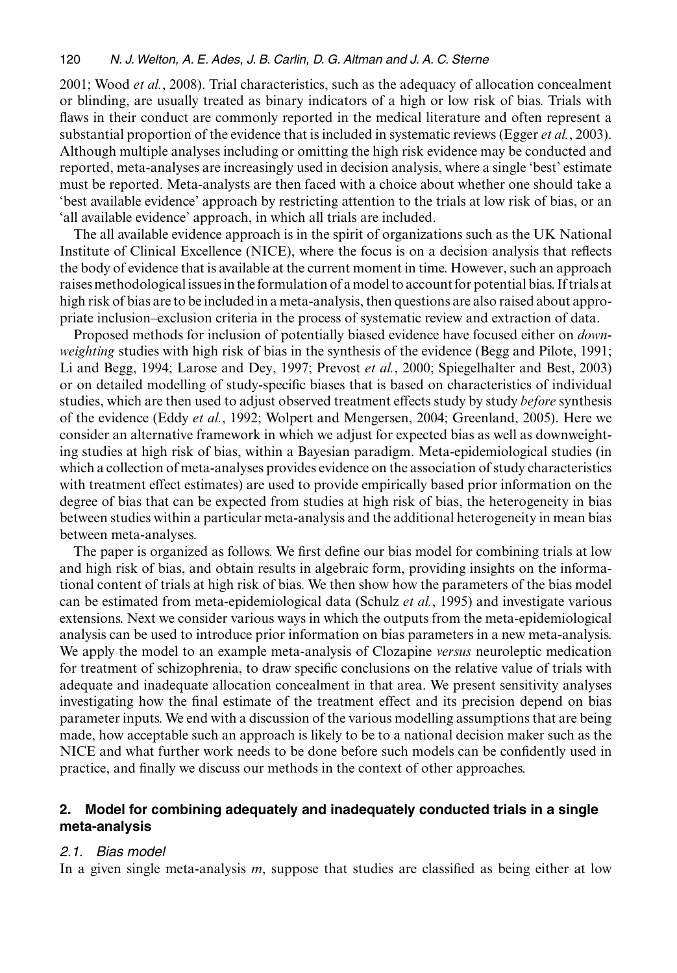2001; Wood *et al.*, 2008). Trial characteristics, such as the adequacy of allocation concealment or blinding, are usually treated as binary indicators of a high or low risk of bias. Trials with flaws in their conduct are commonly reported in the medical literature and often represent a substantial proportion of the evidence that is included in systematic reviews (Egger *et al.*, 2003). Although multiple analyses including or omitting the high risk evidence may be conducted and reported, meta-analyses are increasingly used in decision analysis, where a single 'best' estimate must be reported. Meta-analysts are then faced with a choice about whether one should take a 'best available evidence' approach by restricting attention to the trials at low risk of bias, or an 'all available evidence' approach, in which all trials are included.

The all available evidence approach is in the spirit of organizations such as the UK National Institute of Clinical Excellence (NICE), where the focus is on a decision analysis that reflects the body of evidence that is available at the current moment in time. However, such an approach raises methodological issues in the formulation of a model to account for potential bias. If trials at high risk of bias are to be included in a meta-analysis, then questions are also raised about appropriate inclusion–exclusion criteria in the process of systematic review and extraction of data.

Proposed methods for inclusion of potentially biased evidence have focused either on *downweighting* studies with high risk of bias in the synthesis of the evidence (Begg and Pilote, 1991; Li and Begg, 1994; Larose and Dey, 1997; Prevost *et al.*, 2000; Spiegelhalter and Best, 2003) or on detailed modelling of study-specific biases that is based on characteristics of individual studies, which are then used to adjust observed treatment effects study by study *before* synthesis of the evidence (Eddy *et al.*, 1992; Wolpert and Mengersen, 2004; Greenland, 2005). Here we consider an alternative framework in which we adjust for expected bias as well as downweighting studies at high risk of bias, within a Bayesian paradigm. Meta-epidemiological studies (in which a collection of meta-analyses provides evidence on the association of study characteristics with treatment effect estimates) are used to provide empirically based prior information on the degree of bias that can be expected from studies at high risk of bias, the heterogeneity in bias between studies within a particular meta-analysis and the additional heterogeneity in mean bias between meta-analyses.

The paper is organized as follows. We first define our bias model for combining trials at low and high risk of bias, and obtain results in algebraic form, providing insights on the informational content of trials at high risk of bias. We then show how the parameters of the bias model can be estimated from meta-epidemiological data (Schulz *et al.*, 1995) and investigate various extensions. Next we consider various ways in which the outputs from the meta-epidemiological analysis can be used to introduce prior information on bias parameters in a new meta-analysis. We apply the model to an example meta-analysis of Clozapine *versus* neuroleptic medication for treatment of schizophrenia, to draw specific conclusions on the relative value of trials with adequate and inadequate allocation concealment in that area. We present sensitivity analyses investigating how the final estimate of the treatment effect and its precision depend on bias parameter inputs. We end with a discussion of the various modelling assumptions that are being made, how acceptable such an approach is likely to be to a national decision maker such as the NICE and what further work needs to be done before such models can be confidently used in practice, and finally we discuss our methods in the context of other approaches.

# **2. Model for combining adequately and inadequately conducted trials in a single meta-analysis**

## *2.1. Bias model*

In a given single meta-analysis *m*, suppose that studies are classified as being either at low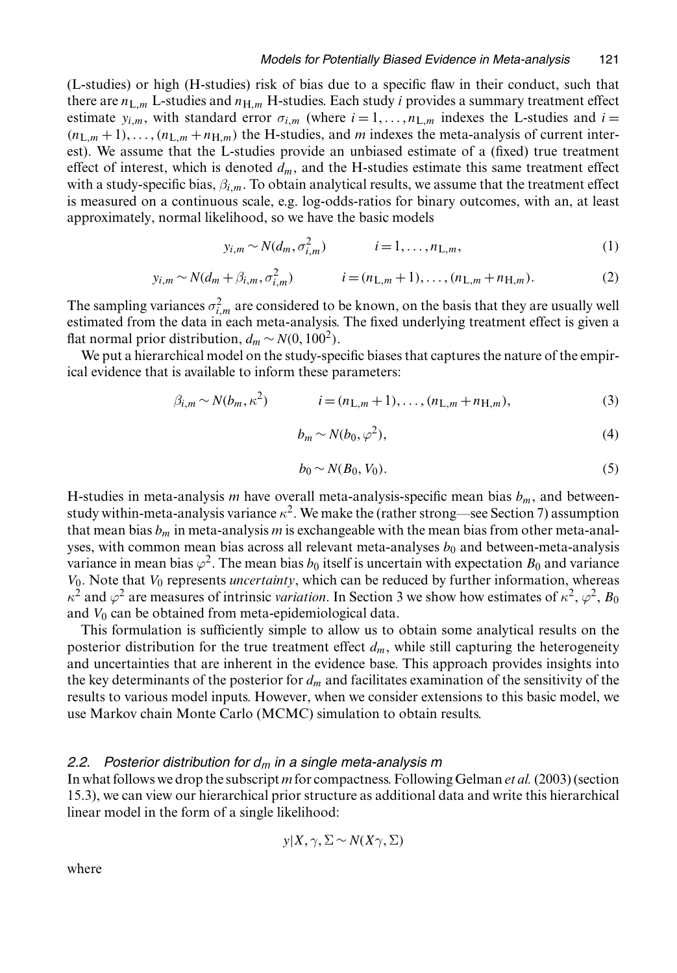(L-studies) or high (H-studies) risk of bias due to a specific flaw in their conduct, such that there are  $n_{\text{L},m}$  L-studies and  $n_{\text{H},m}$  H-studies. Each study *i* provides a summary treatment effect estimate  $y_{i,m}$ , with standard error  $\sigma_{i,m}$  (where  $i = 1, \ldots, n_{L,m}$  indexes the L-studies and  $i =$  $(n_{\text{L},m} + 1), \ldots, (n_{\text{L},m} + n_{\text{H},m})$  the H-studies, and *m* indexes the meta-analysis of current interest). We assume that the L-studies provide an unbiased estimate of a (fixed) true treatment effect of interest, which is denoted  $d_m$ , and the H-studies estimate this same treatment effect with a study-specific bias,  $\beta_{i,m}$ . To obtain analytical results, we assume that the treatment effect is measured on a continuous scale, e.g. log-odds-ratios for binary outcomes, with an, at least approximately, normal likelihood, so we have the basic models

$$
y_{i,m} \sim N(d_m, \sigma_{i,m}^2)
$$
  $i = 1, ..., n_{L,m},$  (1)

$$
y_{i,m} \sim N(d_m + \beta_{i,m}, \sigma_{i,m}^2)
$$
  $i = (n_{\text{L},m} + 1), \dots, (n_{\text{L},m} + n_{\text{H},m}).$  (2)

The sampling variances  $\sigma_{i,m}^2$  are considered to be known, on the basis that they are usually well<br>estimated from the data in each meta-analysis. The fixed underlying treatment effect is given a estimated from the data in each meta-analysis. The fixed underlying treatment effect is given a flat normal prior distribution,  $d_m \sim N(0, 100^2)$ .

We put a hierarchical model on the study-specific biases that captures the nature of the empirical evidence that is available to inform these parameters:

$$
\beta_{i,m} \sim N(b_m, \kappa^2) \qquad i = (n_{\text{L},m} + 1), \dots, (n_{\text{L},m} + n_{\text{H},m}), \tag{3}
$$

$$
b_m \sim N(b_0, \varphi^2),\tag{4}
$$

$$
b_0 \sim N(B_0, V_0). \tag{5}
$$

H-studies in meta-analysis  $m$  have overall meta-analysis-specific mean bias  $b_m$ , and betweenstudy within-meta-analysis variance  $\kappa^2$ . We make the (rather strong—see Section 7) assumption that mean bias  $b_m$  in meta-analysis *m* is exchangeable with the mean bias from other meta-analyses, with common mean bias across all relevant meta-analyses  $b_0$  and between-meta-analysis variance in mean bias  $\varphi^2$ . The mean bias  $b_0$  itself is uncertain with expectation  $B_0$  and variance V0. Note that V<sup>0</sup> represents *uncertainty*, which can be reduced by further information, whereas  $\kappa^2$  and  $\varphi^2$  are measures of intrinsic *variation*. In Section 3 we show how estimates of  $\kappa^2$ ,  $\varphi^2$ ,  $B_0$ and  $V_0$  can be obtained from meta-epidemiological data.

This formulation is sufficiently simple to allow us to obtain some analytical results on the posterior distribution for the true treatment effect  $d_m$ , while still capturing the heterogeneity and uncertainties that are inherent in the evidence base. This approach provides insights into the key determinants of the posterior for  $d<sub>m</sub>$  and facilitates examination of the sensitivity of the results to various model inputs. However, when we consider extensions to this basic model, we use Markov chain Monte Carlo (MCMC) simulation to obtain results.

## *2.2. Posterior distribution for dm in a single meta-analysis m*

In what follows we drop the subscript *m* for compactness. Following Gelman *et al.*(2003) (section 15.3), we can view our hierarchical prior structure as additional data and write this hierarchical linear model in the form of a single likelihood:

$$
y|X,\gamma,\Sigma \sim N(X\gamma,\Sigma)
$$

where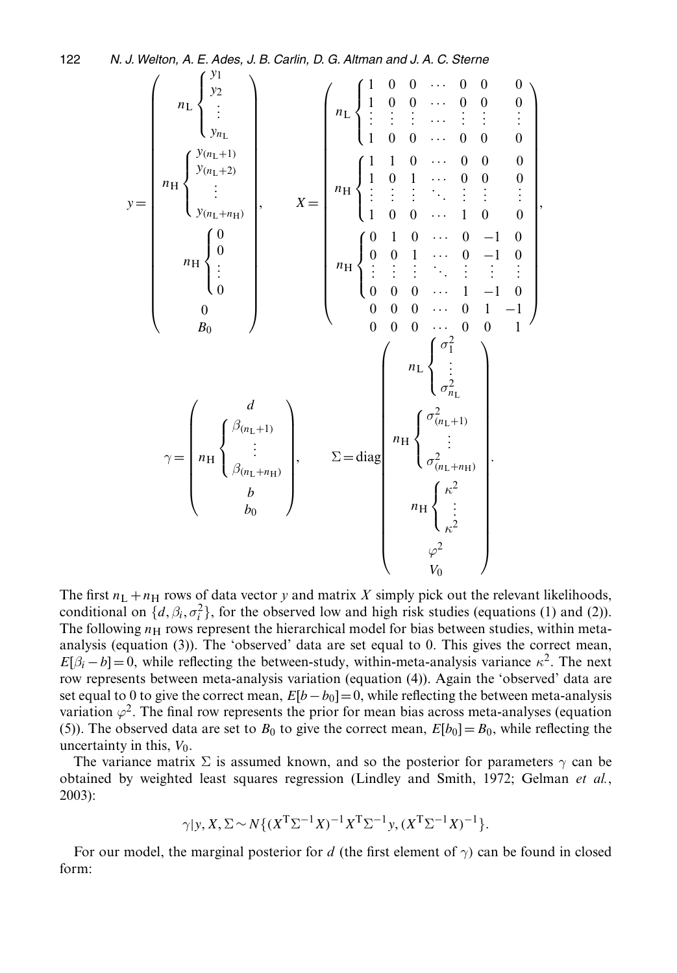122 *N. J. Welton, A. E. Ades, J. B. Carlin, D. G. Altman and J. A. C. Sterne*

$$
y = \begin{pmatrix}\nn_1 \\
r_2 \\
r_3 \\
r_{n+1} \\
r_{n+1} \\
r_{n+1} \\
r_{n+1} \\
r_{n+1} \\
r_{n+1} \\
r_{n+1} \\
r_{n+1} \\
r_{n+1} \\
r_{n+1} \\
r_{n+1} \\
r_{n+1} \\
r_{n+1} \\
r_{n+1} \\
r_{n+1} \\
r_{n+1} \\
r_{n+1} \\
r_{n+1} \\
r_{n+1} \\
r_{n+1} \\
r_{n+1} \\
r_{n+1} \\
r_{n+1} \\
r_{n+1} \\
r_{n+1} \\
r_{n+1} \\
r_{n+1} \\
r_{n+1} \\
r_{n+1} \\
r_{n+1} \\
r_{n+1} \\
r_{n+1} \\
r_{n+1} \\
r_{n+1} \\
r_{n+1} \\
r_{n+1} \\
r_{n+1} \\
r_{n+1} \\
r_{n+1} \\
r_{n+1} \\
r_{n+1} \\
r_{n+1} \\
r_{n+1} \\
r_{n+1} \\
r_{n+1} \\
r_{n+1} \\
r_{n+1} \\
r_{n+1} \\
r_{n+1} \\
r_{n+1} \\
r_{n+1} \\
r_{n+1} \\
r_{n+1} \\
r_{n+1} \\
r_{n+1} \\
r_{n+1} \\
r_{n+1} \\
r_{n+1} \\
r_{n+1} \\
r_{n+1} \\
r_{n+1} \\
r_{n+1} \\
r_{n+1} \\
r_{n+1} \\
r_{n+1} \\
r_{n+1} \\
r_{n+1} \\
r_{n+1} \\
r_{n+1} \\
r_{n+1} \\
r_{n+1} \\
r_{n+1} \\
r_{n+1} \\
r_{n+1} \\
r_{n+1} \\
r_{n+1} \\
r_{n+1} \\
r_{n+1} \\
r_{n+1} \\
r_{n+1} \\
r_{n+1} \\
r_{n+1} \\
r_{n+1} \\
r_{n+1} \\
r_{n+1} \\
r_{n+1} \\
r_{n+1} \\
r_{n+1} \\
r_{n+1} \\
r_{n+1} \\
r_{n+1} \\
r_{n+1} \\
r_{n+1} \\
r_{n+1} \\
r_{n+1} \\
r_{n+1} \\
r_{n+1} \\
r_{n+1} \\
r_{n+1} \\
r_{n+1} \\
r_{n+1} \\
r_{n+1} \\
r_{n+1} \\
r_{n+1} \\
r_{n+1} \\
r_{n+
$$

The first  $n_L + n_H$  rows of data vector *y* and matrix *X* simply pick out the relevant likelihoods, conditional on  $\{d, \beta_i, \sigma_i^2\}$ , for the observed low and high risk studies (equations (1) and (2)).<br>The following  $\mu$ y rows represent the hierarchical model for higs between studies, within meta-The following  $n_H$  rows represent the hierarchical model for bias between studies, within metaanalysis (equation (3)). The 'observed' data are set equal to 0. This gives the correct mean,  $E[\beta_i - b] = 0$ , while reflecting the between-study, within-meta-analysis variance  $\kappa^2$ . The next row represents between meta-analysis variation (equation (4)). Again the 'observed' data are set equal to 0 to give the correct mean,  $E[b-b_0]=0$ , while reflecting the between meta-analysis variation  $\varphi^2$ . The final row represents the prior for mean bias across meta-analyses (equation (5)). The observed data are set to  $B_0$  to give the correct mean,  $E[b_0]=B_0$ , while reflecting the uncertainty in this,  $V_0$ .

The variance matrix  $\Sigma$  is assumed known, and so the posterior for parameters  $\gamma$  can be obtained by weighted least squares regression (Lindley and Smith, 1972; Gelman *et al.*, 2003):

$$
\gamma|y, X, \Sigma \sim N\{(X^{T}\Sigma^{-1}X)^{-1}X^{T}\Sigma^{-1}y, (X^{T}\Sigma^{-1}X)^{-1}\}.
$$

For our model, the marginal posterior for *d* (the first element of  $\gamma$ ) can be found in closed form: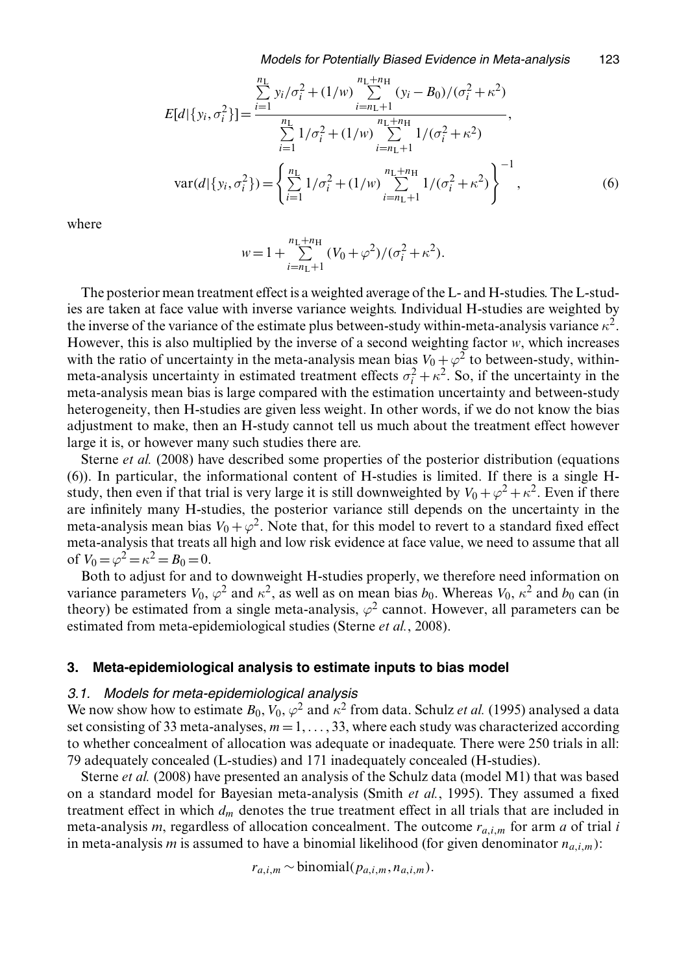$$
E[d|\{y_i, \sigma_i^2\}] = \frac{\sum_{i=1}^{n_L} y_i / \sigma_i^2 + (1/w) \sum_{i=n_L+1}^{n_L+n_H} (y_i - B_0) / (\sigma_i^2 + \kappa^2)}{\sum_{i=1}^{n_L} 1 / \sigma_i^2 + (1/w) \sum_{i=n_L+1}^{n_L+n_H} 1 / (\sigma_i^2 + \kappa^2)},
$$
  
var(d|\{y\_i, \sigma\_i^2\}) =  $\left\{\sum_{i=1}^{n_L} 1 / \sigma_i^2 + (1/w) \sum_{i=n_L+1}^{n_L+n_H} 1 / (\sigma_i^2 + \kappa^2)\right\}^{-1},$  (6)

where

$$
w = 1 + \sum_{i=n_L+1}^{n_L+n_H} (V_0 + \varphi^2) / (\sigma_i^2 + \kappa^2).
$$

The posterior mean treatment effect is a weighted average of the L- and H-studies. The L-studies are taken at face value with inverse variance weights. Individual H-studies are weighted by the inverse of the variance of the estimate plus between-study within-meta-analysis variance  $\kappa^2$ . However, this is also multiplied by the inverse of a second weighting factor *w*, which increases with the ratio of uncertainty in the meta-analysis mean bias  $V_0 + \varphi^2$  to between-study, withinmeta-analysis uncertainty in estimated treatment effects  $\sigma_i^2 + \kappa^2$ . So, if the uncertainty in the meta-analysis mean bias is large compared with the estimation uncertainty and between-study meta-analysis mean bias is large compared with the estimation uncertainty and between-study heterogeneity, then H-studies are given less weight. In other words, if we do not know the bias adjustment to make, then an H-study cannot tell us much about the treatment effect however large it is, or however many such studies there are.

Sterne *et al.* (2008) have described some properties of the posterior distribution (equations (6)). In particular, the informational content of H-studies is limited. If there is a single Hstudy, then even if that trial is very large it is still downweighted by  $V_0 + \varphi^2 + \kappa^2$ . Even if there are infinitely many H-studies, the posterior variance still depends on the uncertainty in the meta-analysis mean bias  $V_0 + \varphi^2$ . Note that, for this model to revert to a standard fixed effect meta-analysis that treats all high and low risk evidence at face value, we need to assume that all of  $V_0 = \varphi^2 = \kappa^2 = B_0 = 0$ .

Both to adjust for and to downweight H-studies properly, we therefore need information on variance parameters  $V_0$ ,  $\varphi^2$  and  $\kappa^2$ , as well as on mean bias  $b_0$ . Whereas  $V_0$ ,  $\kappa^2$  and  $b_0$  can (in theory) be estimated from a single meta-analysis,  $\varphi^2$  cannot. However, all parameters can be estimated from meta-epidemiological studies (Sterne *et al.*, 2008).

#### **3. Meta-epidemiological analysis to estimate inputs to bias model**

#### *3.1. Models for meta-epidemiological analysis*

We now show how to estimate  $B_0$ ,  $V_0$ ,  $\varphi^2$  and  $\kappa^2$  from data. Schulz *et al.* (1995) analysed a data set consisting of 33 meta-analyses,  $m=1, \ldots, 33$ , where each study was characterized according to whether concealment of allocation was adequate or inadequate. There were 250 trials in all: 79 adequately concealed (L-studies) and 171 inadequately concealed (H-studies).

Sterne *et al.* (2008) have presented an analysis of the Schulz data (model M1) that was based on a standard model for Bayesian meta-analysis (Smith *et al.*, 1995). They assumed a fixed treatment effect in which  $d_m$  denotes the true treatment effect in all trials that are included in meta-analysis *m*, regardless of allocation concealment. The outcome ra,i,<sup>m</sup> for arm *a* of trial *i* in meta-analysis *m* is assumed to have a binomial likelihood (for given denominator  $n_{a,i,m}$ ):

$$
r_{a,i,m} \sim \text{binomial}(p_{a,i,m}, n_{a,i,m}).
$$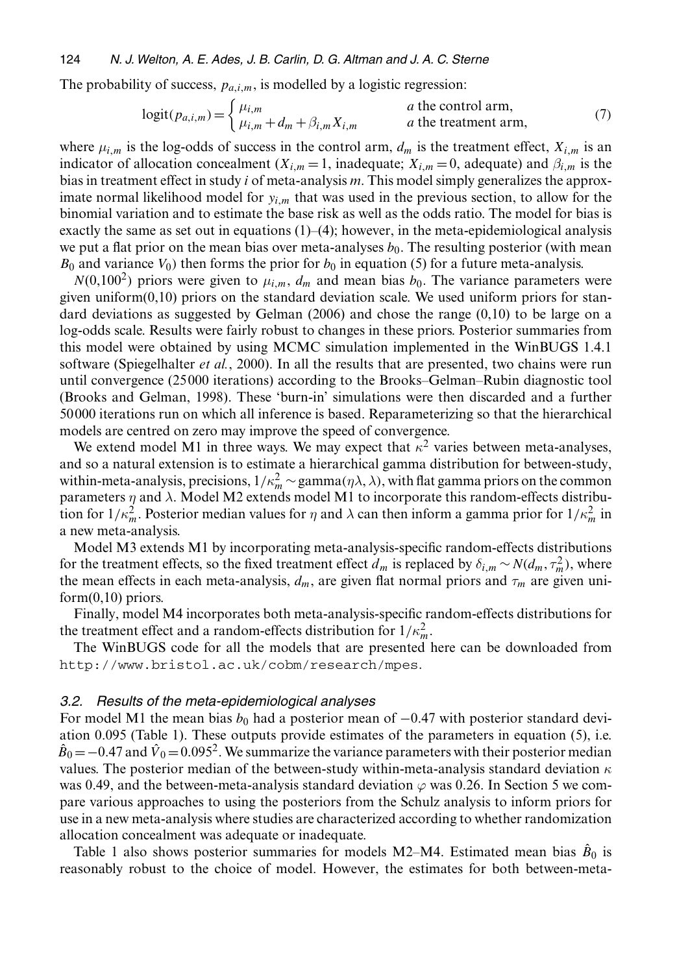## 124 *N. J. Welton, A. E. Ades, J. B. Carlin, D. G. Altman and J. A. C. Sterne*

The probability of success,  $p_{a,i,m}$ , is modelled by a logistic regression:

$$
logit(p_{a,i,m}) = \begin{cases} \mu_{i,m} & a \text{ the control arm,} \\ \mu_{i,m} + d_m + \beta_{i,m} X_{i,m} & a \text{ the treatment arm,} \end{cases}
$$
 (7)

where  $\mu_{i,m}$  is the log-odds of success in the control arm,  $d_m$  is the treatment effect,  $X_{i,m}$  is an indicator of allocation concealment ( $X_{i,m} = 1$ , inadequate;  $X_{i,m} = 0$ , adequate) and  $\beta_{i,m}$  is the bias in treatment effect in study *i* of meta-analysis *m*. This model simply generalizes the approximate normal likelihood model for  $y_{i,m}$  that was used in the previous section, to allow for the binomial variation and to estimate the base risk as well as the odds ratio. The model for bias is exactly the same as set out in equations (1)–(4); however, in the meta-epidemiological analysis we put a flat prior on the mean bias over meta-analyses  $b_0$ . The resulting posterior (with mean  $B_0$  and variance  $V_0$ ) then forms the prior for  $b_0$  in equation (5) for a future meta-analysis.

 $N(0,100^2)$  priors were given to  $\mu_{i,m}$ ,  $d_m$  and mean bias  $b_0$ . The variance parameters were given uniform $(0,10)$  priors on the standard deviation scale. We used uniform priors for standard deviations as suggested by Gelman (2006) and chose the range (0,10) to be large on a log-odds scale. Results were fairly robust to changes in these priors. Posterior summaries from this model were obtained by using MCMC simulation implemented in the WinBUGS 1.4.1 software (Spiegelhalter *et al.*, 2000). In all the results that are presented, two chains were run until convergence (25 000 iterations) according to the Brooks–Gelman–Rubin diagnostic tool (Brooks and Gelman, 1998). These 'burn-in' simulations were then discarded and a further 50 000 iterations run on which all inference is based. Reparameterizing so that the hierarchical models are centred on zero may improve the speed of convergence.

We extend model M1 in three ways. We may expect that  $\kappa^2$  varies between meta-analyses, and so a natural extension is to estimate a hierarchical gamma distribution for between-study, within-meta-analysis, precisions,  $1/\kappa_m^2 \sim \text{gamma}(\eta, \lambda)$ , with flat gamma priors on the common<br>parameters n and  $\lambda$ . Model M2 extends model M1 to incorporate this random-effects distribuparameters  $\eta$  and  $\lambda$ . Model M2 extends model M1 to incorporate this random-effects distribution for  $1/\kappa_m^2$ . Posterior median values for  $\eta$  and  $\lambda$  can then inform a gamma prior for  $1/\kappa_m^2$  in a new meta-analysis a new meta-analysis.

Model M3 extends M1 by incorporating meta-analysis-specific random-effects distributions for the treatment effects, so the fixed treatment effect  $d_m$  is replaced by  $\delta_{i,m} \sim N(d_m, \tau_m^2)$ , where the mean effects in each meta-analysis  $d_m$  are given flat normal priors and  $\tau_m$  are given unithe mean effects in each meta-analysis,  $d_m$ , are given flat normal priors and  $\tau_m$  are given uni $form(0,10)$  priors.

Finally, model M4 incorporates both meta-analysis-specific random-effects distributions for the treatment effect and a random-effects distribution for  $1/\kappa_m^2$ .<br>The WinBUGS code for all the models that are presented

The WinBUGS code for all the models that are presented here can be downloaded from http://www.bristol.ac.uk/cobm/research/mpes.

#### *3.2. Results of the meta-epidemiological analyses*

For model M1 the mean bias  $b_0$  had a posterior mean of  $-0.47$  with posterior standard deviation 0.095 (Table 1). These outputs provide estimates of the parameters in equation (5), i.e.  $\hat{B}_0 = -0.47$  and  $\hat{V}_0 = 0.095^2$ . We summarize the variance parameters with their posterior median values. The posterior median of the between-study within-meta-analysis standard deviation  $\kappa$ was 0.49, and the between-meta-analysis standard deviation  $\varphi$  was 0.26. In Section 5 we compare various approaches to using the posteriors from the Schulz analysis to inform priors for use in a new meta-analysis where studies are characterized according to whether randomization allocation concealment was adequate or inadequate.

Table 1 also shows posterior summaries for models M2–M4. Estimated mean bias  $\hat{B}_0$  is reasonably robust to the choice of model. However, the estimates for both between-meta-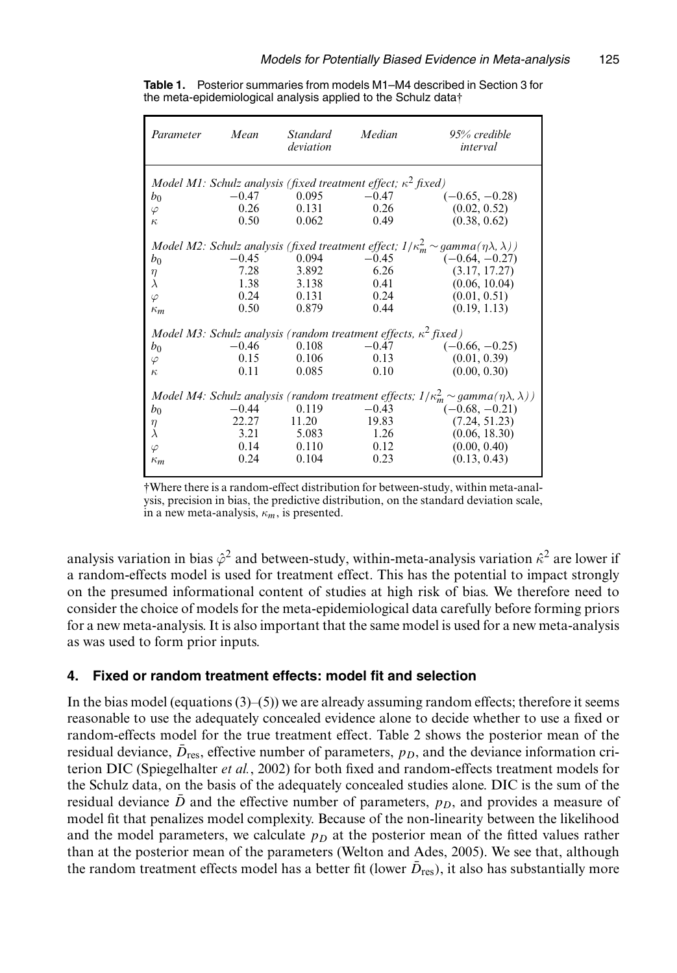| Parameter                                                                                                      | Mean    | <i>Standard</i><br>deviation | Median  | 95% credible<br>interval |  |  |  |  |
|----------------------------------------------------------------------------------------------------------------|---------|------------------------------|---------|--------------------------|--|--|--|--|
| Model M1: Schulz analysis (fixed treatment effect; $\kappa^2$ fixed)                                           |         |                              |         |                          |  |  |  |  |
| $b_0$                                                                                                          | $-0.47$ | 0.095                        |         | $-0.47$ $(-0.65, -0.28)$ |  |  |  |  |
| $\varphi$                                                                                                      |         | $0.26$ $0.131$ $0.26$        |         | (0.02, 0.52)             |  |  |  |  |
| $\kappa$                                                                                                       | 0.50    | 0.062                        | 0.49    | (0.38, 0.62)             |  |  |  |  |
| Model M2: Schulz analysis (fixed treatment effect; $1/\kappa_m^2 \sim \text{gamma}(\eta \lambda, \lambda)$ )   |         |                              |         |                          |  |  |  |  |
| b <sub>0</sub>                                                                                                 | $-0.45$ | 0.094                        |         | $-0.45$ $(-0.64, -0.27)$ |  |  |  |  |
| $\eta$                                                                                                         |         | 7.28 3.892                   |         | $6.26$ $(3.17, 17.27)$   |  |  |  |  |
| $\lambda$                                                                                                      | 1.38    | 3.138                        | 0.41    | (0.06, 10.04)            |  |  |  |  |
| $\varphi$                                                                                                      |         | $0.24$ $0.131$               | 0.24    | (0.01, 0.51)             |  |  |  |  |
| $\kappa_m$                                                                                                     | 0.50    | 0.879                        | 0.44    | (0.19, 1.13)             |  |  |  |  |
| Model M3: Schulz analysis (random treatment effects, $\kappa^2$ fixed)                                         |         |                              |         |                          |  |  |  |  |
| $b_0$                                                                                                          |         | $-0.46$ 0.108                |         | $-0.47$ $(-0.66, -0.25)$ |  |  |  |  |
| $\varphi$                                                                                                      |         | $0.15$ $0.106$               | 0.13    | (0.01, 0.39)             |  |  |  |  |
| $\kappa$                                                                                                       | 0.11    | 0.085                        | 0.10    | (0.00, 0.30)             |  |  |  |  |
| Model M4: Schulz analysis (random treatment effects; $1/\kappa_m^2 \sim \text{gamma}(\eta \lambda, \lambda)$ ) |         |                              |         |                          |  |  |  |  |
| b <sub>0</sub>                                                                                                 |         | $-0.44$ 0.119                | $-0.43$ | $(-0.68, -0.21)$         |  |  |  |  |
| $\eta$                                                                                                         |         | 22.27 11.20                  | 19.83   | (7.24, 51.23)            |  |  |  |  |
| $\lambda$                                                                                                      | 3.21    | 5.083                        | 1.26    | (0.06, 18.30)            |  |  |  |  |
| $\varphi$                                                                                                      | 0.14    | 0.110                        | 0.12    | (0.00, 0.40)             |  |  |  |  |
| $\kappa_m$                                                                                                     | 0.24    | 0.104                        | 0.23    | (0.13, 0.43)             |  |  |  |  |
|                                                                                                                |         |                              |         |                          |  |  |  |  |

**Table 1.** Posterior summaries from models M1–M4 described in Section 3 for the meta-epidemiological analysis applied to the Schulz data†

†Where there is a random-effect distribution for between-study, within meta-analysis, precision in bias, the predictive distribution, on the standard deviation scale, in a new meta-analysis,  $\kappa_m$ , is presented.

analysis variation in bias  $\hat{\varphi}^2$  and between-study, within-meta-analysis variation  $\hat{\kappa}^2$  are lower if a random-effects model is used for treatment effect. This has the potential to impact strongly on the presumed informational content of studies at high risk of bias. We therefore need to consider the choice of models for the meta-epidemiological data carefully before forming priors for a new meta-analysis. It is also important that the same model is used for a new meta-analysis as was used to form prior inputs.

## **4. Fixed or random treatment effects: model fit and selection**

In the bias model (equations  $(3)$ – $(5)$ ) we are already assuming random effects; therefore it seems reasonable to use the adequately concealed evidence alone to decide whether to use a fixed or random-effects model for the true treatment effect. Table 2 shows the posterior mean of the residual deviance,  $\bar{D}_{\text{res}}$ , effective number of parameters,  $p_D$ , and the deviance information criterion DIC (Spiegelhalter *et al.*, 2002) for both fixed and random-effects treatment models for the Schulz data, on the basis of the adequately concealed studies alone. DIC is the sum of the residual deviance  $\bar{D}$  and the effective number of parameters,  $p<sub>D</sub>$ , and provides a measure of model fit that penalizes model complexity. Because of the non-linearity between the likelihood and the model parameters, we calculate  $p<sub>D</sub>$  at the posterior mean of the fitted values rather than at the posterior mean of the parameters (Welton and Ades, 2005). We see that, although the random treatment effects model has a better fit (lower  $\bar{D}_{res}$ ), it also has substantially more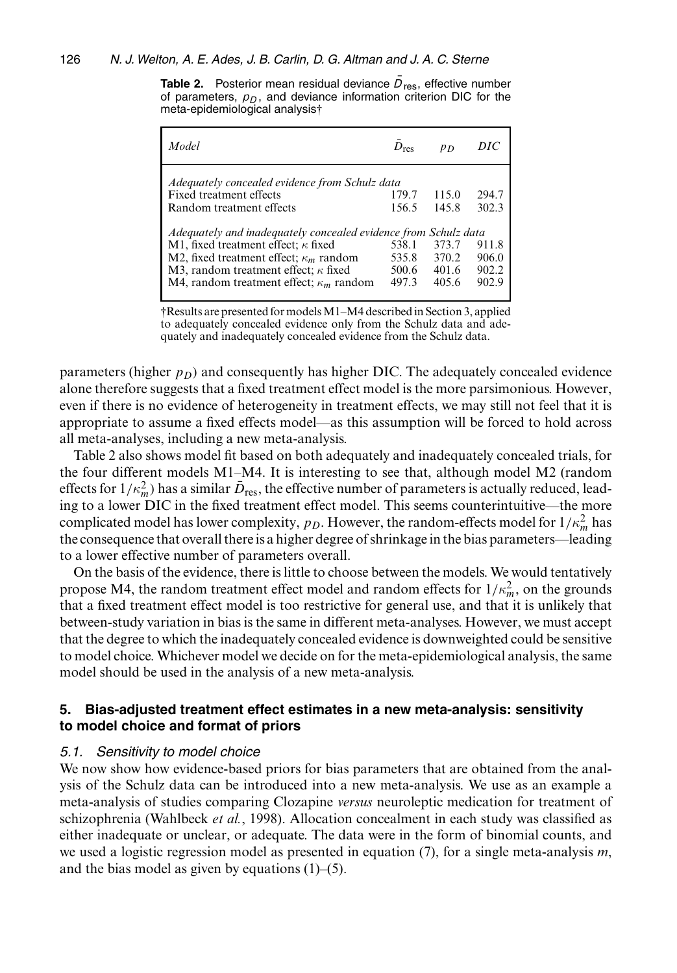**Table 2.** Posterior mean residual deviance  $D_{res}$ , effective number of parameters,  $p_D$ , and deviance information criterion DIC for the meta-epidemiological analysis†

| Model                                                           |       | $p_D$ | DIC   |  |  |  |
|-----------------------------------------------------------------|-------|-------|-------|--|--|--|
| Adequately concealed evidence from Schulz data                  |       |       |       |  |  |  |
| Fixed treatment effects                                         | 179.7 | 115.0 | 294.7 |  |  |  |
| Random treatment effects                                        | 156.5 | 145.8 | 302.3 |  |  |  |
| Adequately and inadequately concealed evidence from Schulz data |       |       |       |  |  |  |
| M1, fixed treatment effect; $\kappa$ fixed                      | 538.1 | 373.7 | 911.8 |  |  |  |
| M2, fixed treatment effect; $\kappa_m$ random                   | 535.8 | 370.2 | 906.0 |  |  |  |
| M3, random treatment effect; $\kappa$ fixed                     | 500.6 | 401.6 | 902.2 |  |  |  |
| M4, random treatment effect; $\kappa_m$ random                  | 497.3 | 405.6 | 902.9 |  |  |  |
|                                                                 |       |       |       |  |  |  |

†Results are presented for modelsM1–M4 described in Section 3, applied to adequately concealed evidence only from the Schulz data and adequately and inadequately concealed evidence from the Schulz data.

parameters (higher  $p_D$ ) and consequently has higher DIC. The adequately concealed evidence alone therefore suggests that a fixed treatment effect model is the more parsimonious. However, even if there is no evidence of heterogeneity in treatment effects, we may still not feel that it is appropriate to assume a fixed effects model—as this assumption will be forced to hold across all meta-analyses, including a new meta-analysis.

Table 2 also shows model fit based on both adequately and inadequately concealed trials, for the four different models M1–M4. It is interesting to see that, although model M2 (random effects for  $1/\kappa_m^2$ ) has a similar  $\bar{D}_{\text{res}}$ , the effective number of parameters is actually reduced, lead-<br>ing to a lower DIC in the fixed treatment effect model. This seems counterintuitive—the more ing to a lower DIC in the fixed treatment effect model. This seems counterintuitive—the more complicated model has lower complexity,  $p_D$ . However, the random-effects model for  $1/\kappa_m^2$  has<br>the consequence that overall there is a higher degree of shripkage in the bias parameters—leading the consequence that overall there is a higher degree of shrinkage in the bias parameters—leading to a lower effective number of parameters overall.

On the basis of the evidence, there is little to choose between the models. We would tentatively propose M4, the random treatment effect model and random effects for  $1/\kappa_m^2$ , on the grounds<br>that a fixed treatment effect model is too restrictive for general use, and that it is unlikely that that a fixed treatment effect model is too restrictive for general use, and that it is unlikely that between-study variation in bias is the same in different meta-analyses. However, we must accept that the degree to which the inadequately concealed evidence is downweighted could be sensitive to model choice. Whichever model we decide on for the meta-epidemiological analysis, the same model should be used in the analysis of a new meta-analysis.

## **5. Bias-adjusted treatment effect estimates in a new meta-analysis: sensitivity to model choice and format of priors**

## *5.1. Sensitivity to model choice*

We now show how evidence-based priors for bias parameters that are obtained from the analysis of the Schulz data can be introduced into a new meta-analysis. We use as an example a meta-analysis of studies comparing Clozapine *versus* neuroleptic medication for treatment of schizophrenia (Wahlbeck *et al.*, 1998). Allocation concealment in each study was classified as either inadequate or unclear, or adequate. The data were in the form of binomial counts, and we used a logistic regression model as presented in equation (7), for a single meta-analysis *m*, and the bias model as given by equations  $(1)$ – $(5)$ .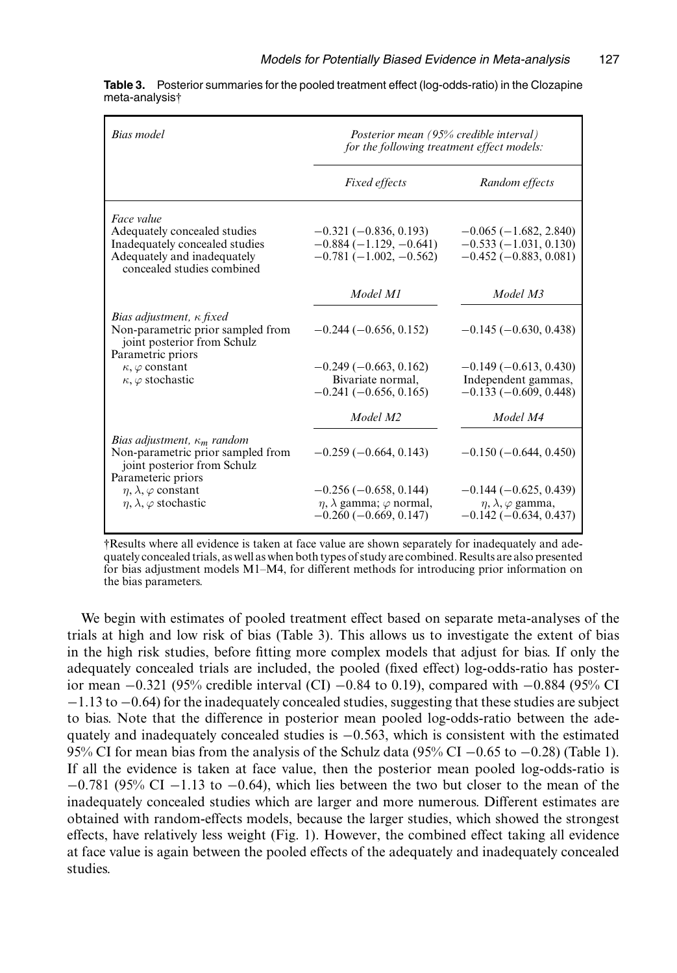| Bias model                                                                                                                                | Posterior mean (95% credible interval)<br>for the following treatment effect models:              |                                                                                             |
|-------------------------------------------------------------------------------------------------------------------------------------------|---------------------------------------------------------------------------------------------------|---------------------------------------------------------------------------------------------|
|                                                                                                                                           | Fixed effects                                                                                     | Random effects                                                                              |
| Face value<br>Adequately concealed studies<br>Inadequately concealed studies<br>Adequately and inadequately<br>concealed studies combined | $-0.321(-0.836, 0.193)$<br>$-0.884(-1.129, -0.641)$<br>$-0.781(-1.002, -0.562)$                   | $-0.065(-1.682, 2.840)$<br>$-0.533(-1.031, 0.130)$<br>$-0.452(-0.883, 0.081)$               |
|                                                                                                                                           | Model M1                                                                                          | Model M3                                                                                    |
| Bias adjustment, $\kappa$ fixed<br>Non-parametric prior sampled from<br>joint posterior from Schulz                                       | $-0.244(-0.656, 0.152)$                                                                           | $-0.145(-0.630, 0.438)$                                                                     |
| Parametric priors<br>$\kappa$ , $\varphi$ constant<br>$\kappa$ , $\varphi$ stochastic                                                     | $-0.249(-0.663, 0.162)$<br>Bivariate normal.<br>$-0.241(-0.656, 0.165)$                           | $-0.149(-0.613, 0.430)$<br>Independent gammas,<br>$-0.133(-0.609, 0.448)$                   |
|                                                                                                                                           | Model M <sub>2</sub>                                                                              | Model M4                                                                                    |
| Bias adjustment, $\kappa_m$ random<br>Non-parametric prior sampled from<br>joint posterior from Schulz                                    | $-0.259(-0.664, 0.143)$                                                                           | $-0.150(-0.644, 0.450)$                                                                     |
| Parameteric priors<br>$\eta, \lambda, \varphi$ constant<br>$\eta, \lambda, \varphi$ stochastic                                            | $-0.256(-0.658, 0.144)$<br>$\eta$ , $\lambda$ gamma; $\varphi$ normal,<br>$-0.260(-0.669, 0.147)$ | $-0.144(-0.625, 0.439)$<br>$\eta$ , $\lambda$ , $\varphi$ gamma,<br>$-0.142(-0.634, 0.437)$ |

**Table 3.** Posterior summaries for the pooled treatment effect (log-odds-ratio) in the Clozapine meta-analysis†

†Results where all evidence is taken at face value are shown separately for inadequately and adequately concealed trials, as well as when both types of study are combined. Results are also presented for bias adjustment models M1–M4, for different methods for introducing prior information on the bias parameters.

We begin with estimates of pooled treatment effect based on separate meta-analyses of the trials at high and low risk of bias (Table 3). This allows us to investigate the extent of bias in the high risk studies, before fitting more complex models that adjust for bias. If only the adequately concealed trials are included, the pooled (fixed effect) log-odds-ratio has posterior mean <sup>−</sup>0:321 (95% credible interval (CI) <sup>−</sup>0:84 to 0.19), compared with <sup>−</sup>0:884 (95% CI <sup>−</sup>1:13 to <sup>−</sup>0:64) for the inadequately concealed studies, suggesting that these studies are subject to bias. Note that the difference in posterior mean pooled log-odds-ratio between the adequately and inadequately concealed studies is  $-0.563$ , which is consistent with the estimated 95% CI for mean bias from the analysis of the Schulz data (95% CI  $-0.65$  to  $-0.28$ ) (Table 1). If all the evidence is taken at face value, then the posterior mean pooled log-odds-ratio is  $-0.781$  (95% CI  $-1.13$  to  $-0.64$ ), which lies between the two but closer to the mean of the inadequately concealed studies which are larger and more numerous. Different estimates are obtained with random-effects models, because the larger studies, which showed the strongest effects, have relatively less weight (Fig. 1). However, the combined effect taking all evidence at face value is again between the pooled effects of the adequately and inadequately concealed studies.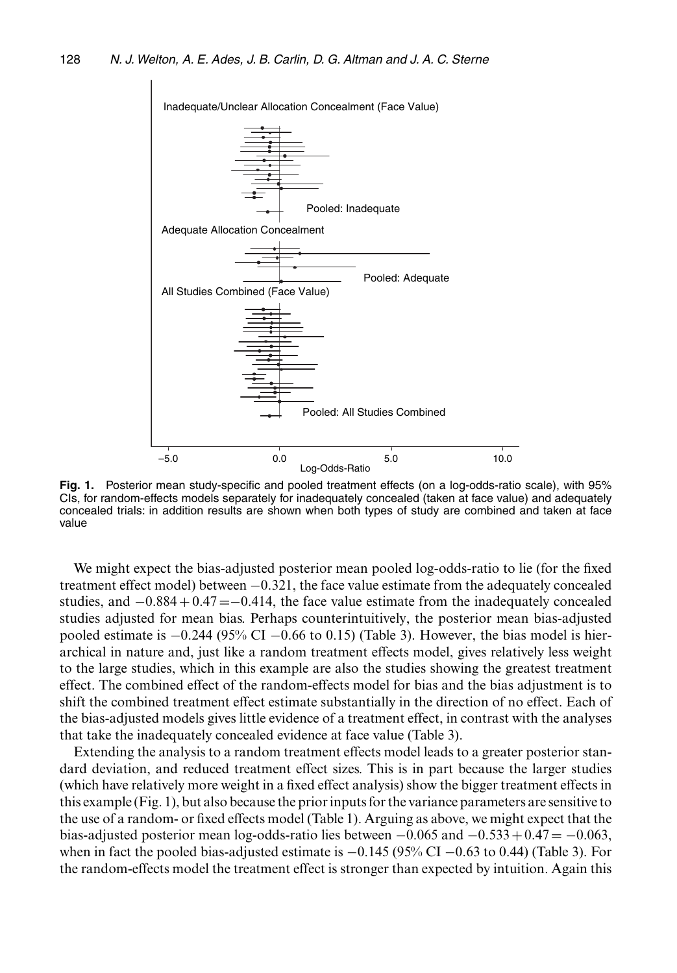

**Fig. 1.** Posterior mean study-specific and pooled treatment effects (on a log-odds-ratio scale), with 95% CIs, for random-effects models separately for inadequately concealed (taken at face value) and adequately concealed trials: in addition results are shown when both types of study are combined and taken at face value

We might expect the bias-adjusted posterior mean pooled log-odds-ratio to lie (for the fixed treatment effect model) between <sup>−</sup>0:321, the face value estimate from the adequately concealed studies, and  $-0.884 + 0.47 = -0.414$ , the face value estimate from the inadequately concealed studies adjusted for mean bias. Perhaps counterintuitively, the posterior mean bias-adjusted pooled estimate is  $-0.244$  (95% CI  $-0.66$  to 0.15) (Table 3). However, the bias model is hierarchical in nature and, just like a random treatment effects model, gives relatively less weight to the large studies, which in this example are also the studies showing the greatest treatment effect. The combined effect of the random-effects model for bias and the bias adjustment is to shift the combined treatment effect estimate substantially in the direction of no effect. Each of the bias-adjusted models gives little evidence of a treatment effect, in contrast with the analyses that take the inadequately concealed evidence at face value (Table 3).

Extending the analysis to a random treatment effects model leads to a greater posterior standard deviation, and reduced treatment effect sizes. This is in part because the larger studies (which have relatively more weight in a fixed effect analysis) show the bigger treatment effects in this example (Fig. 1), but also because the prior inputs for the variance parameters are sensitive to the use of a random- or fixed effects model (Table 1). Arguing as above, we might expect that the bias-adjusted posterior mean log-odds-ratio lies between  $-0.065$  and  $-0.533+0.47=-0.063$ , when in fact the pooled bias-adjusted estimate is  $-0.145$  (95% CI  $-0.63$  to 0.44) (Table 3). For the random-effects model the treatment effect is stronger than expected by intuition. Again this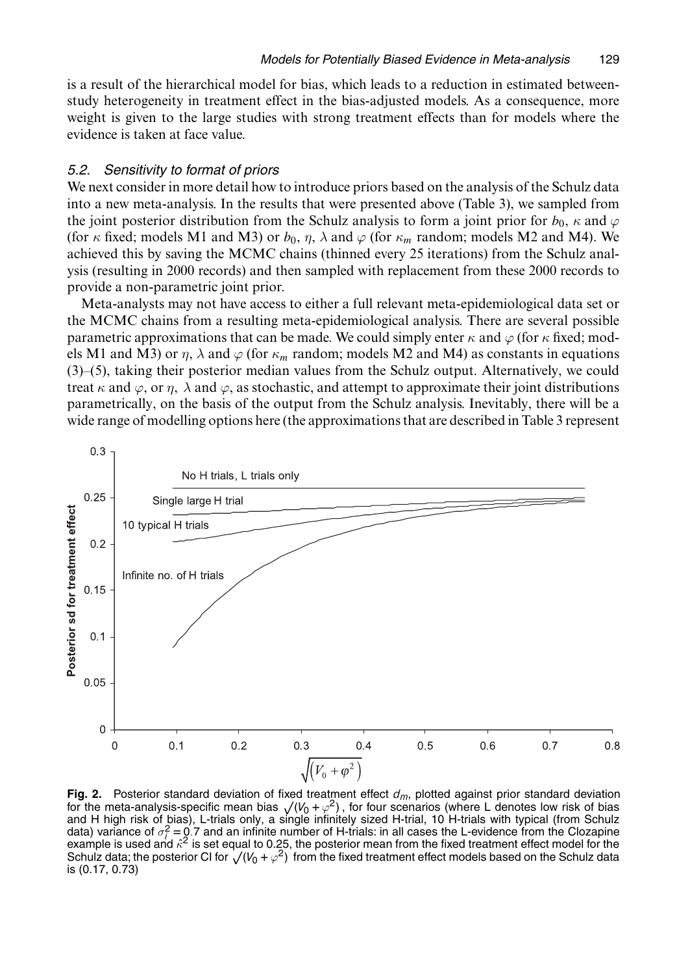is a result of the hierarchical model for bias, which leads to a reduction in estimated betweenstudy heterogeneity in treatment effect in the bias-adjusted models. As a consequence, more weight is given to the large studies with strong treatment effects than for models where the evidence is taken at face value.

#### *5.2. Sensitivity to format of priors*

We next consider in more detail how to introduce priors based on the analysis of the Schulz data into a new meta-analysis. In the results that were presented above (Table 3), we sampled from the joint posterior distribution from the Schulz analysis to form a joint prior for  $b_0$ ,  $\kappa$  and  $\varphi$ (for  $\kappa$  fixed; models M1 and M3) or  $b_0$ ,  $\eta$ ,  $\lambda$  and  $\varphi$  (for  $\kappa_m$  random; models M2 and M4). We achieved this by saving the MCMC chains (thinned every 25 iterations) from the Schulz analysis (resulting in 2000 records) and then sampled with replacement from these 2000 records to provide a non-parametric joint prior.

Meta-analysts may not have access to either a full relevant meta-epidemiological data set or the MCMC chains from a resulting meta-epidemiological analysis. There are several possible parametric approximations that can be made. We could simply enter  $\kappa$  and  $\varphi$  (for  $\kappa$  fixed; models M1 and M3) or  $\eta$ ,  $\lambda$  and  $\varphi$  (for  $\kappa_m$  random; models M2 and M4) as constants in equations (3)–(5), taking their posterior median values from the Schulz output. Alternatively, we could treat  $\kappa$  and  $\varphi$ , or  $\eta$ ,  $\lambda$  and  $\varphi$ , as stochastic, and attempt to approximate their joint distributions parametrically, on the basis of the output from the Schulz analysis. Inevitably, there will be a wide range of modelling options here (the approximations that are described in Table 3 represent



**Fig. 2.** Posterior standard deviation of fixed treatment effect  $d_m$ , plotted against prior standard deviation  $\overline{I}$  . The meta-analysis-specific mean bias  $\sqrt{(V_0 + \varphi^2)}$ , for four scenarios (where L denotes low risk of bias<br>and H high risk of bias), L-trials only, a single infinitely sized H-trial, 10 H-trials with typical (f data) variance of  $\sigma_l^2 = 0.7$  and an infinite number of H-trials: in all cases the L-evidence from the Clozapine<br>example is used and ε<sup>2</sup> is set equal to 0.25, the posterior mean from the fixed treatment effect model for example is used and  $\hat{\kappa}^2$  is set equal to 0.25, the posterior mean from the fixed treatment effect model for the Schulz data; the posterior CI for  $\sqrt{(V_0 + \varphi^2)}$  from the fixed treatment effect models based on the Schulz data is (0.17, 0.73)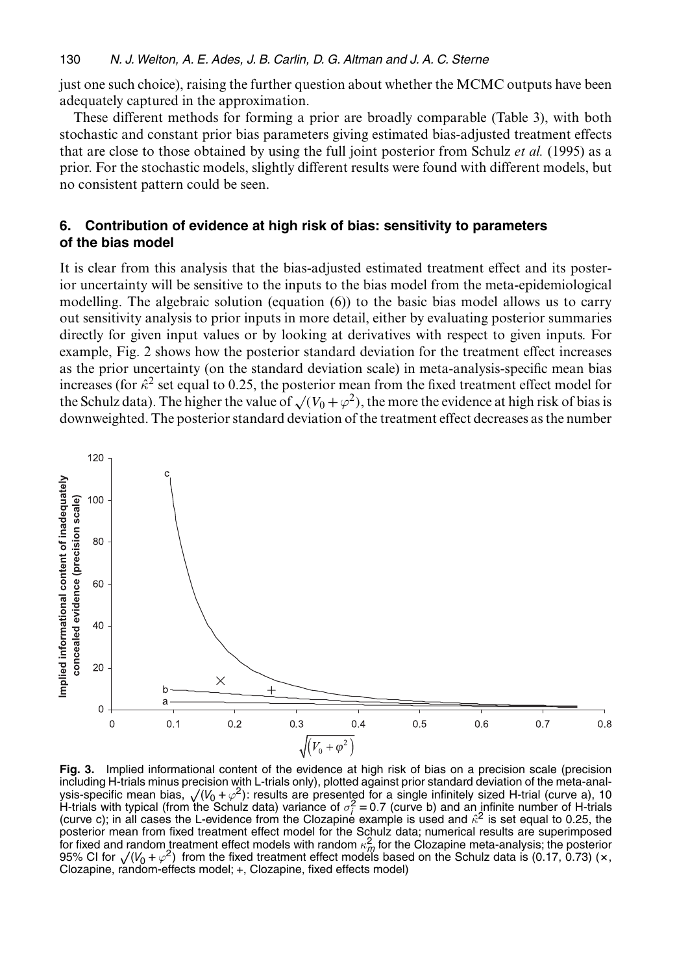just one such choice), raising the further question about whether the MCMC outputs have been adequately captured in the approximation.

These different methods for forming a prior are broadly comparable (Table 3), with both stochastic and constant prior bias parameters giving estimated bias-adjusted treatment effects that are close to those obtained by using the full joint posterior from Schulz *et al.* (1995) as a prior. For the stochastic models, slightly different results were found with different models, but no consistent pattern could be seen.

# **6. Contribution of evidence at high risk of bias: sensitivity to parameters of the bias model**

It is clear from this analysis that the bias-adjusted estimated treatment effect and its posterior uncertainty will be sensitive to the inputs to the bias model from the meta-epidemiological modelling. The algebraic solution (equation (6)) to the basic bias model allows us to carry out sensitivity analysis to prior inputs in more detail, either by evaluating posterior summaries directly for given input values or by looking at derivatives with respect to given inputs. For example, Fig. 2 shows how the posterior standard deviation for the treatment effect increases as the prior uncertainty (on the standard deviation scale) in meta-analysis-specific mean bias increases (for  $\hat{\kappa}^2$  set equal to 0.25, the posterior mean from the fixed treatment effect model for the Schulz data). The higher the value of  $\sqrt{(V_0 + \varphi^2)}$ , the more the evidence at high risk of bias is downweighted. The posterior standard deviation of the treatment effect decreases as the number



**Fig. 3.** Implied informational content of the evidence at high risk of bias on a precision scale (precision including H-trials minus precision with L-trials only), plotted against prior standard deviation of the meta-analysis-specific mean bias,  $\sqrt{(V_0 + \varphi^2)}$ : results are presented for a single infinitely sized H-trial (curve a), 10 H-trials with typical (from the Schulz data) variance of  $\sigma_l^2 = 0.7$  (curve b) and an infinite number of H-trials<br>(curve c): in all cases the I-evidence from the Clozapine example is used and  $\hat{\kappa}^2$  is set equal to 0 (curve c); in all cases the L-evidence from the Clozapine example is used and  $\hat{\kappa}^2$  is set equal to 0.25, the posterior mean from fixed treatment effect model for the Schulz data; numerical results are superimposed for fixed and random treatment effect models with random  $\kappa_m^2$  for the Clozapine meta-analysis; the posterior<br>95% CL for *J* (Ι/<sub>Ο</sub> + *ο*<sup>2</sup>) from the fixed treatment effect models based on the Schulz data is (0.17, 0. 95% CI for  $\sqrt{(V_0 + \varphi^2)}$  from the fixed treatment effect models based on the Schulz data is (0.17, 0.73) ( $\times$ ,<br>Clozapine, random-effects model: +, Clozapine, fixed effects model) Clozapine, random-effects model; +, Clozapine, fixed effects model)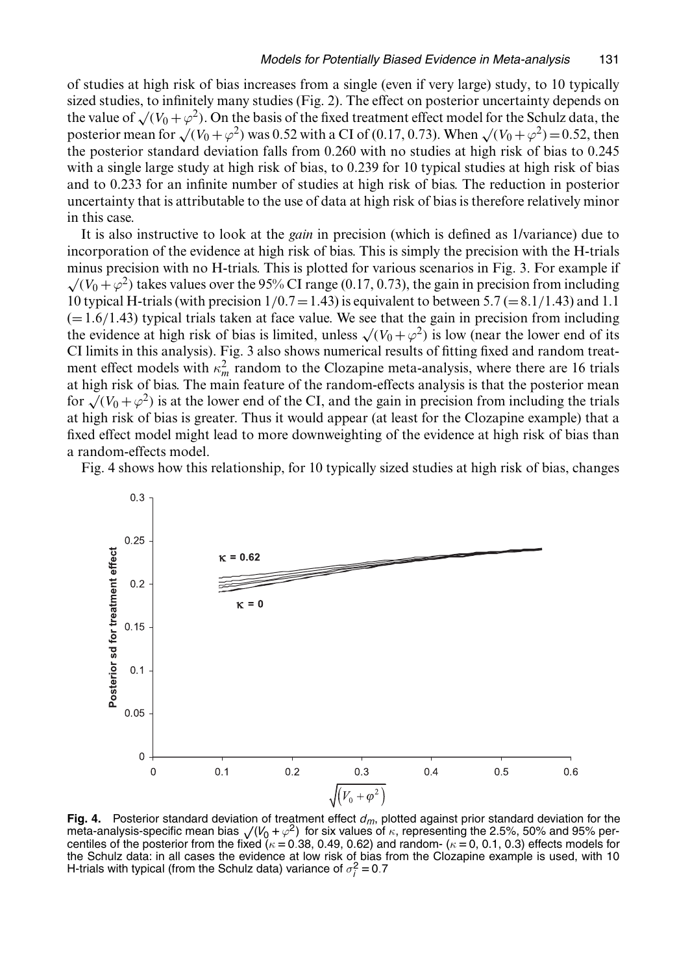of studies at high risk of bias increases from a single (even if very large) study, to 10 typically sized studies, to infinitely many studies (Fig. 2). The effect on posterior uncertainty depends on the value of  $\sqrt{(V_0 + \varphi^2)}$ . On the basis of the fixed treatment effect model for the Schulz data, the posterior mean for  $\sqrt{(V_0 + \varphi^2)}$  was 0.52 with a CI of (0.17, 0.73). When  $\sqrt{(V_0 + \varphi^2)} = 0.52$ , then the posterior standard deviation falls from 0.260 with no studies at high risk of bias to 0.245 with a single large study at high risk of bias, to 0.239 for 10 typical studies at high risk of bias and to 0.233 for an infinite number of studies at high risk of bias. The reduction in posterior uncertainty that is attributable to the use of data at high risk of bias is therefore relatively minor in this case.

It is also instructive to look at the *gain* in precision (which is defined as 1/variance) due to incorporation of the evidence at high risk of bias. This is simply the precision with the H-trials minus precision with no H-trials. This is plotted for various scenarios in Fig. 3. For example if  $\sqrt{(V_0 + \varphi^2)}$  takes values over the 95% CI range (0.17, 0.73), the gain in precision from including 10 typical H-trials (with precision  $1/0.7=1.43$ ) is equivalent to between 5.7 (=8.1/1.43) and 1.1  $(=1.6/1.43)$  typical trials taken at face value. We see that the gain in precision from including the evidence at high risk of bias is limited, unless  $\sqrt{(V_0 + \varphi^2)}$  is low (near the lower end of its CI limits in this analysis). Fig. 3 also shows numerical results of fitting fixed and random treatment effect models with  $\kappa_m^2$  random to the Clozapine meta-analysis, where there are 16 trials<br>at high risk of hias. The main feature of the random-effects analysis is that the nosterior mean at high risk of bias. The main feature of the random-effects analysis is that the posterior mean for  $\sqrt{(V_0 + \varphi^2)}$  is at the lower end of the CI, and the gain in precision from including the trials at high risk of bias is greater. Thus it would appear (at least for the Clozapine example) that a fixed effect model might lead to more downweighting of the evidence at high risk of bias than a random-effects model.

Fig. 4 shows how this relationship, for 10 typically sized studies at high risk of bias, changes



**Fig. 4.** Posterior standard deviation of treatment effect *dm*, plotted against prior standard deviation for the meta-analysis-specific mean bias  $\sqrt{(V_0 + \varphi^2)}$  for six values of  $\kappa$ , representing the 2.5%, 50% and 95% percentiles of the posterior from the fixed ( $\kappa = 0.38$ , 0.49, 0.62) and random- ( $\kappa = 0$ , 0.1, 0.3) effects models for the Schulz data: in all cases the evidence at low risk of bias from the Clozapine example is used, with 10<br>H-trials with typical (from the Schulz data) variance of  $\sigma_i^2 = 0.7$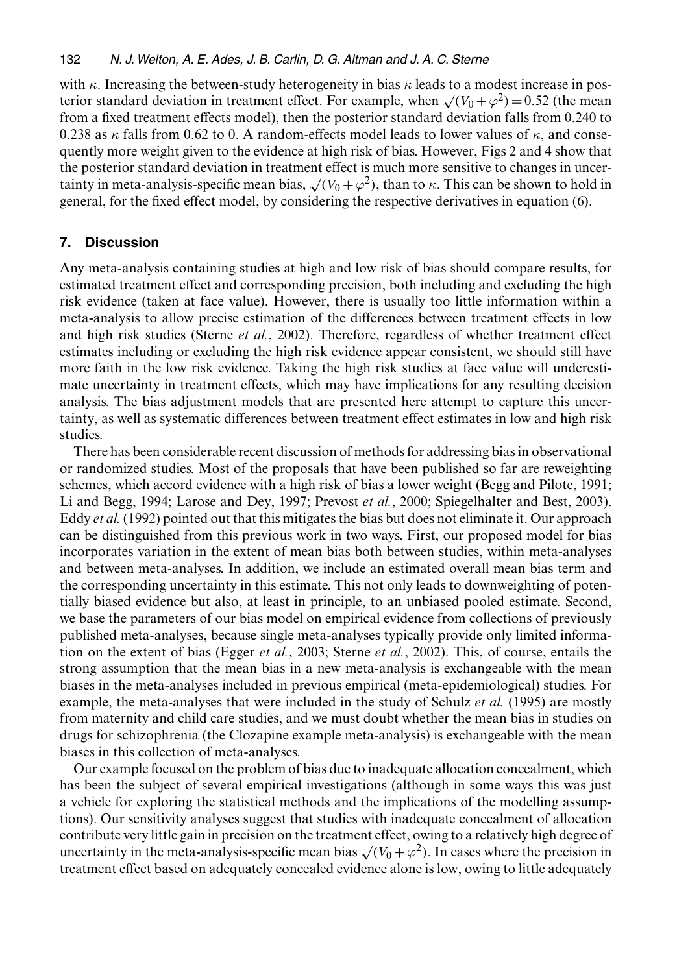with  $\kappa$ . Increasing the between-study heterogeneity in bias  $\kappa$  leads to a modest increase in posterior standard deviation in treatment effect. For example, when  $\sqrt{(V_0 + \varphi^2)} = 0.52$  (the mean from a fixed treatment effects model), then the posterior standard deviation falls from 0.240 to 0.238 as  $\kappa$  falls from 0.62 to 0. A random-effects model leads to lower values of  $\kappa$ , and consequently more weight given to the evidence at high risk of bias. However, Figs 2 and 4 show that the posterior standard deviation in treatment effect is much more sensitive to changes in uncertainty in meta-analysis-specific mean bias,  $\sqrt{(V_0 + \varphi^2)}$ , than to  $\kappa$ . This can be shown to hold in general, for the fixed effect model, by considering the respective derivatives in equation (6).

## **7. Discussion**

Any meta-analysis containing studies at high and low risk of bias should compare results, for estimated treatment effect and corresponding precision, both including and excluding the high risk evidence (taken at face value). However, there is usually too little information within a meta-analysis to allow precise estimation of the differences between treatment effects in low and high risk studies (Sterne *et al.*, 2002). Therefore, regardless of whether treatment effect estimates including or excluding the high risk evidence appear consistent, we should still have more faith in the low risk evidence. Taking the high risk studies at face value will underestimate uncertainty in treatment effects, which may have implications for any resulting decision analysis. The bias adjustment models that are presented here attempt to capture this uncertainty, as well as systematic differences between treatment effect estimates in low and high risk studies.

There has been considerable recent discussion of methods for addressing bias in observational or randomized studies. Most of the proposals that have been published so far are reweighting schemes, which accord evidence with a high risk of bias a lower weight (Begg and Pilote, 1991; Li and Begg, 1994; Larose and Dey, 1997; Prevost *et al.*, 2000; Spiegelhalter and Best, 2003). Eddy *et al.* (1992) pointed out that this mitigates the bias but does not eliminate it. Our approach can be distinguished from this previous work in two ways. First, our proposed model for bias incorporates variation in the extent of mean bias both between studies, within meta-analyses and between meta-analyses. In addition, we include an estimated overall mean bias term and the corresponding uncertainty in this estimate. This not only leads to downweighting of potentially biased evidence but also, at least in principle, to an unbiased pooled estimate. Second, we base the parameters of our bias model on empirical evidence from collections of previously published meta-analyses, because single meta-analyses typically provide only limited information on the extent of bias (Egger *et al.*, 2003; Sterne *et al.*, 2002). This, of course, entails the strong assumption that the mean bias in a new meta-analysis is exchangeable with the mean biases in the meta-analyses included in previous empirical (meta-epidemiological) studies. For example, the meta-analyses that were included in the study of Schulz *et al.* (1995) are mostly from maternity and child care studies, and we must doubt whether the mean bias in studies on drugs for schizophrenia (the Clozapine example meta-analysis) is exchangeable with the mean biases in this collection of meta-analyses.

Our example focused on the problem of bias due to inadequate allocation concealment, which has been the subject of several empirical investigations (although in some ways this was just a vehicle for exploring the statistical methods and the implications of the modelling assumptions). Our sensitivity analyses suggest that studies with inadequate concealment of allocation contribute very little gain in precision on the treatment effect, owing to a relatively high degree of uncertainty in the meta-analysis-specific mean bias  $\sqrt{(V_0 + \varphi^2)}$ . In cases where the precision in treatment effect based on adequately concealed evidence alone is low, owing to little adequately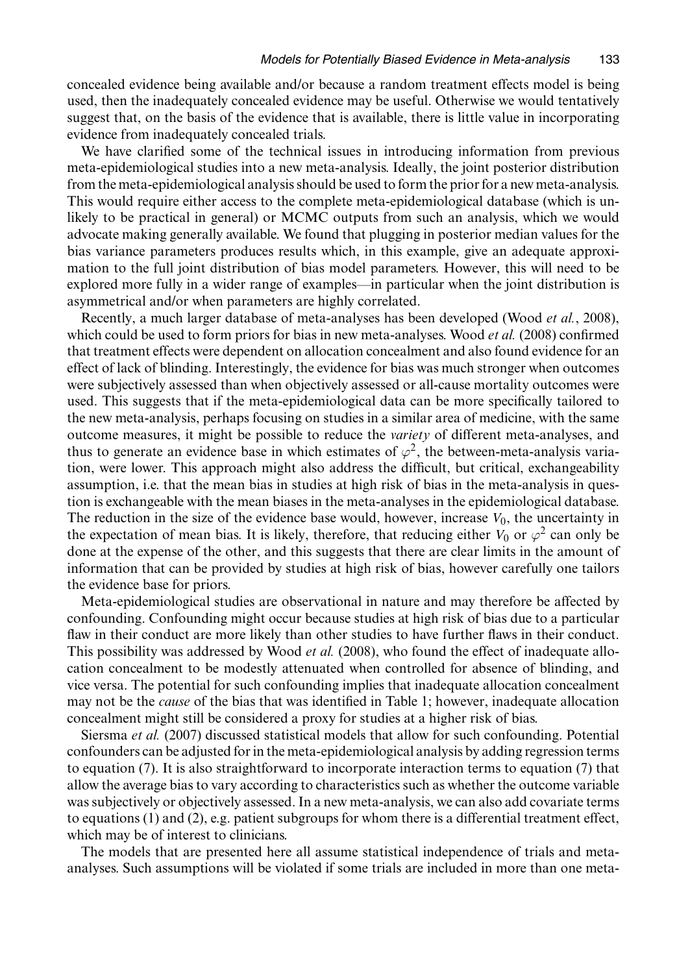concealed evidence being available and/or because a random treatment effects model is being used, then the inadequately concealed evidence may be useful. Otherwise we would tentatively suggest that, on the basis of the evidence that is available, there is little value in incorporating evidence from inadequately concealed trials.

We have clarified some of the technical issues in introducing information from previous meta-epidemiological studies into a new meta-analysis. Ideally, the joint posterior distribution from the meta-epidemiological analysis should be used to form the prior for a new meta-analysis. This would require either access to the complete meta-epidemiological database (which is unlikely to be practical in general) or MCMC outputs from such an analysis, which we would advocate making generally available. We found that plugging in posterior median values for the bias variance parameters produces results which, in this example, give an adequate approximation to the full joint distribution of bias model parameters. However, this will need to be explored more fully in a wider range of examples—in particular when the joint distribution is asymmetrical and/or when parameters are highly correlated.

Recently, a much larger database of meta-analyses has been developed (Wood *et al.*, 2008), which could be used to form priors for bias in new meta-analyses. Wood *et al.* (2008) confirmed that treatment effects were dependent on allocation concealment and also found evidence for an effect of lack of blinding. Interestingly, the evidence for bias was much stronger when outcomes were subjectively assessed than when objectively assessed or all-cause mortality outcomes were used. This suggests that if the meta-epidemiological data can be more specifically tailored to the new meta-analysis, perhaps focusing on studies in a similar area of medicine, with the same outcome measures, it might be possible to reduce the *variety* of different meta-analyses, and thus to generate an evidence base in which estimates of  $\varphi^2$ , the between-meta-analysis variation, were lower. This approach might also address the difficult, but critical, exchangeability assumption, i.e. that the mean bias in studies at high risk of bias in the meta-analysis in question is exchangeable with the mean biases in the meta-analyses in the epidemiological database. The reduction in the size of the evidence base would, however, increase  $V_0$ , the uncertainty in the expectation of mean bias. It is likely, therefore, that reducing either  $V_0$  or  $\varphi^2$  can only be done at the expense of the other, and this suggests that there are clear limits in the amount of information that can be provided by studies at high risk of bias, however carefully one tailors the evidence base for priors.

Meta-epidemiological studies are observational in nature and may therefore be affected by confounding. Confounding might occur because studies at high risk of bias due to a particular flaw in their conduct are more likely than other studies to have further flaws in their conduct. This possibility was addressed by Wood *et al.* (2008), who found the effect of inadequate allocation concealment to be modestly attenuated when controlled for absence of blinding, and vice versa. The potential for such confounding implies that inadequate allocation concealment may not be the *cause* of the bias that was identified in Table 1; however, inadequate allocation concealment might still be considered a proxy for studies at a higher risk of bias.

Siersma *et al.* (2007) discussed statistical models that allow for such confounding. Potential confounders can be adjusted for in the meta-epidemiological analysis by adding regression terms to equation (7). It is also straightforward to incorporate interaction terms to equation (7) that allow the average bias to vary according to characteristics such as whether the outcome variable was subjectively or objectively assessed. In a new meta-analysis, we can also add covariate terms to equations (1) and (2), e.g. patient subgroups for whom there is a differential treatment effect, which may be of interest to clinicians.

The models that are presented here all assume statistical independence of trials and metaanalyses. Such assumptions will be violated if some trials are included in more than one meta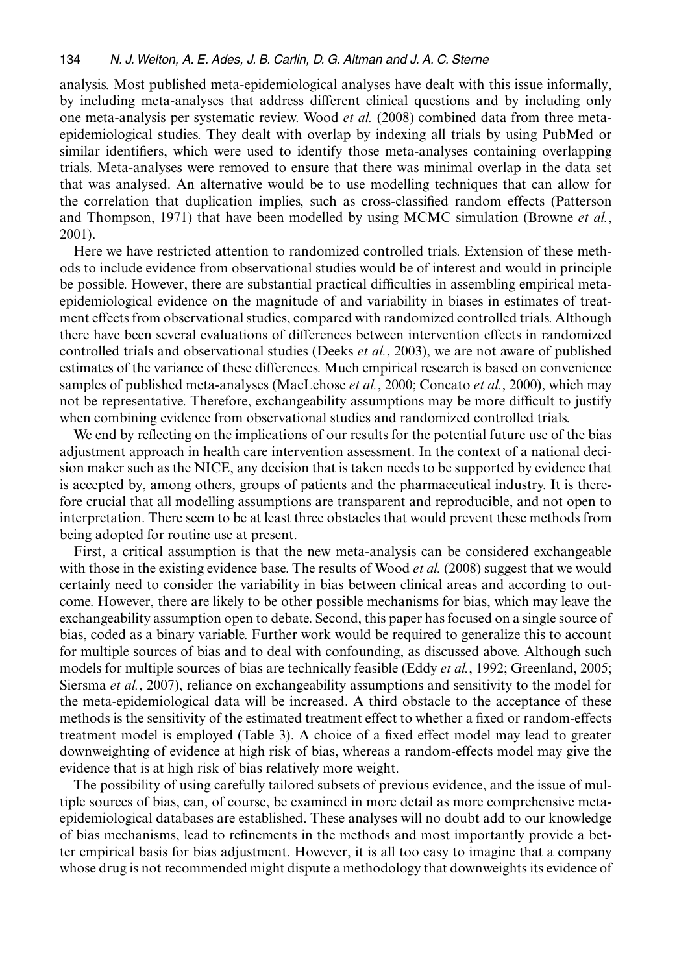analysis. Most published meta-epidemiological analyses have dealt with this issue informally, by including meta-analyses that address different clinical questions and by including only one meta-analysis per systematic review. Wood *et al.* (2008) combined data from three metaepidemiological studies. They dealt with overlap by indexing all trials by using PubMed or similar identifiers, which were used to identify those meta-analyses containing overlapping trials. Meta-analyses were removed to ensure that there was minimal overlap in the data set that was analysed. An alternative would be to use modelling techniques that can allow for the correlation that duplication implies, such as cross-classified random effects (Patterson and Thompson, 1971) that have been modelled by using MCMC simulation (Browne *et al.*, 2001).

Here we have restricted attention to randomized controlled trials. Extension of these methods to include evidence from observational studies would be of interest and would in principle be possible. However, there are substantial practical difficulties in assembling empirical metaepidemiological evidence on the magnitude of and variability in biases in estimates of treatment effects from observational studies, compared with randomized controlled trials. Although there have been several evaluations of differences between intervention effects in randomized controlled trials and observational studies (Deeks *et al.*, 2003), we are not aware of published estimates of the variance of these differences. Much empirical research is based on convenience samples of published meta-analyses (MacLehose *et al.*, 2000; Concato *et al.*, 2000), which may not be representative. Therefore, exchangeability assumptions may be more difficult to justify when combining evidence from observational studies and randomized controlled trials.

We end by reflecting on the implications of our results for the potential future use of the bias adjustment approach in health care intervention assessment. In the context of a national decision maker such as the NICE, any decision that is taken needs to be supported by evidence that is accepted by, among others, groups of patients and the pharmaceutical industry. It is therefore crucial that all modelling assumptions are transparent and reproducible, and not open to interpretation. There seem to be at least three obstacles that would prevent these methods from being adopted for routine use at present.

First, a critical assumption is that the new meta-analysis can be considered exchangeable with those in the existing evidence base. The results of Wood *et al.* (2008) suggest that we would certainly need to consider the variability in bias between clinical areas and according to outcome. However, there are likely to be other possible mechanisms for bias, which may leave the exchangeability assumption open to debate. Second, this paper has focused on a single source of bias, coded as a binary variable. Further work would be required to generalize this to account for multiple sources of bias and to deal with confounding, as discussed above. Although such models for multiple sources of bias are technically feasible (Eddy *et al.*, 1992; Greenland, 2005; Siersma *et al.*, 2007), reliance on exchangeability assumptions and sensitivity to the model for the meta-epidemiological data will be increased. A third obstacle to the acceptance of these methods is the sensitivity of the estimated treatment effect to whether a fixed or random-effects treatment model is employed (Table 3). A choice of a fixed effect model may lead to greater downweighting of evidence at high risk of bias, whereas a random-effects model may give the evidence that is at high risk of bias relatively more weight.

The possibility of using carefully tailored subsets of previous evidence, and the issue of multiple sources of bias, can, of course, be examined in more detail as more comprehensive metaepidemiological databases are established. These analyses will no doubt add to our knowledge of bias mechanisms, lead to refinements in the methods and most importantly provide a better empirical basis for bias adjustment. However, it is all too easy to imagine that a company whose drug is not recommended might dispute a methodology that downweights its evidence of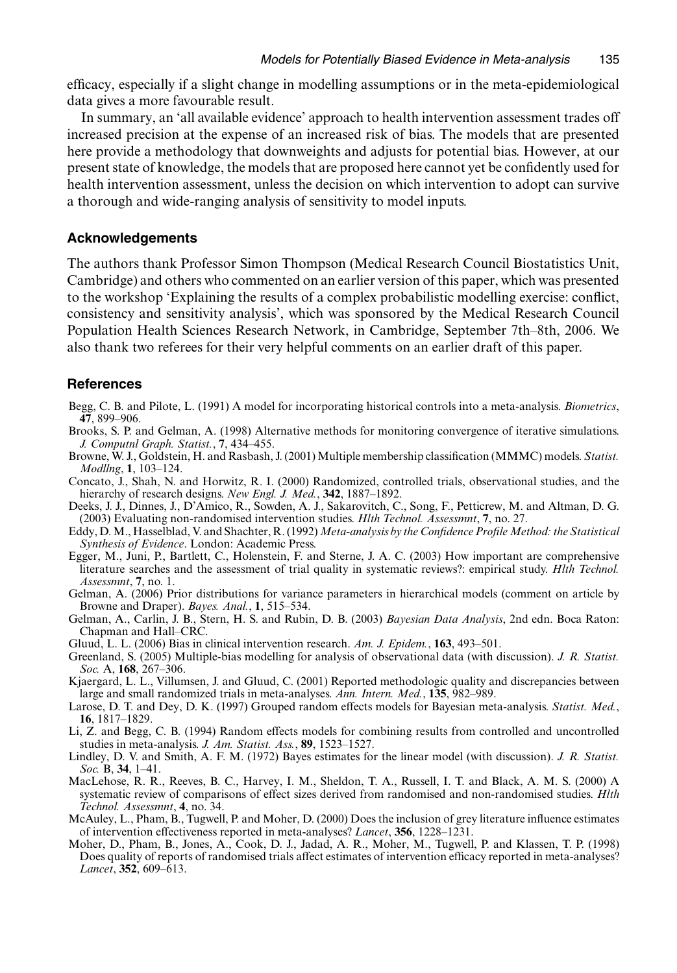efficacy, especially if a slight change in modelling assumptions or in the meta-epidemiological data gives a more favourable result.

In summary, an 'all available evidence' approach to health intervention assessment trades off increased precision at the expense of an increased risk of bias. The models that are presented here provide a methodology that downweights and adjusts for potential bias. However, at our present state of knowledge, the models that are proposed here cannot yet be confidently used for health intervention assessment, unless the decision on which intervention to adopt can survive a thorough and wide-ranging analysis of sensitivity to model inputs.

## **Acknowledgements**

The authors thank Professor Simon Thompson (Medical Research Council Biostatistics Unit, Cambridge) and others who commented on an earlier version of this paper, which was presented to the workshop 'Explaining the results of a complex probabilistic modelling exercise: conflict, consistency and sensitivity analysis', which was sponsored by the Medical Research Council Population Health Sciences Research Network, in Cambridge, September 7th–8th, 2006. We also thank two referees for their very helpful comments on an earlier draft of this paper.

## **References**

- Begg, C. B. and Pilote, L. (1991) A model for incorporating historical controls into a meta-analysis. *Biometrics*, **47**, 899–906.
- Brooks, S. P. and Gelman, A. (1998) Alternative methods for monitoring convergence of iterative simulations. *J. Computnl Graph. Statist.*, **7**, 434–455.
- Browne, W. J., Goldstein, H. and Rasbash, J. (2001) Multiple membership classification (MMMC) models. *Statist. Modllng*, **1**, 103–124.
- Concato, J., Shah, N. and Horwitz, R. I. (2000) Randomized, controlled trials, observational studies, and the hierarchy of research designs. *New Engl. J. Med.*, **342**, 1887–1892.
- Deeks, J. J., Dinnes, J., D'Amico, R., Sowden, A. J., Sakarovitch, C., Song, F., Petticrew, M. and Altman, D. G. (2003) Evaluating non-randomised intervention studies. *Hlth Technol. Assessmnt*, **7**, no. 27.
- Eddy, D.M., Hasselblad, V. and Shachter, R. (1992)*Meta-analysis by the Confidence ProfileMethod: the Statistical Synthesis of Evidence*. London: Academic Press.
- Egger, M., Juni, P., Bartlett, C., Holenstein, F. and Sterne, J. A. C. (2003) How important are comprehensive literature searches and the assessment of trial quality in systematic reviews?: empirical study. *Hlth Technol. Assessmnt*, **7**, no. 1.
- Gelman, A. (2006) Prior distributions for variance parameters in hierarchical models (comment on article by Browne and Draper). *Bayes. Anal.*, **1**, 515–534.
- Gelman, A., Carlin, J. B., Stern, H. S. and Rubin, D. B. (2003) *Bayesian Data Analysis*, 2nd edn. Boca Raton: Chapman and Hall–CRC.
- Gluud, L. L. (2006) Bias in clinical intervention research. *Am. J. Epidem.*, **163**, 493–501.
- Greenland, S. (2005) Multiple-bias modelling for analysis of observational data (with discussion). *J. R. Statist. Soc.* A, **168**, 267–306.
- Kjaergard, L. L., Villumsen, J. and Gluud, C. (2001) Reported methodologic quality and discrepancies between large and small randomized trials in meta-analyses. *Ann. Intern. Med.*, **135**, 982–989.
- Larose, D. T. and Dey, D. K. (1997) Grouped random effects models for Bayesian meta-analysis. *Statist. Med.*, **16**, 1817–1829.
- Li, Z. and Begg, C. B. (1994) Random effects models for combining results from controlled and uncontrolled studies in meta-analysis. *J. Am. Statist. Ass.*, **89**, 1523–1527.
- Lindley, D. V. and Smith, A. F. M. (1972) Bayes estimates for the linear model (with discussion). *J. R. Statist. Soc.* B, **34**, 1–41.
- MacLehose, R. R., Reeves, B. C., Harvey, I. M., Sheldon, T. A., Russell, I. T. and Black, A. M. S. (2000) A systematic review of comparisons of effect sizes derived from randomised and non-randomised studies. *Hlth Technol. Assessmnt*, **4**, no. 34.
- McAuley, L., Pham, B., Tugwell, P. and Moher, D. (2000) Does the inclusion of grey literature influence estimates of intervention effectiveness reported in meta-analyses? *Lancet*, **356**, 1228–1231.
- Moher, D., Pham, B., Jones, A., Cook, D. J., Jadad, A. R., Moher, M., Tugwell, P. and Klassen, T. P. (1998) Does quality of reports of randomised trials affect estimates of intervention efficacy reported in meta-analyses? *Lancet*, **352**, 609–613.